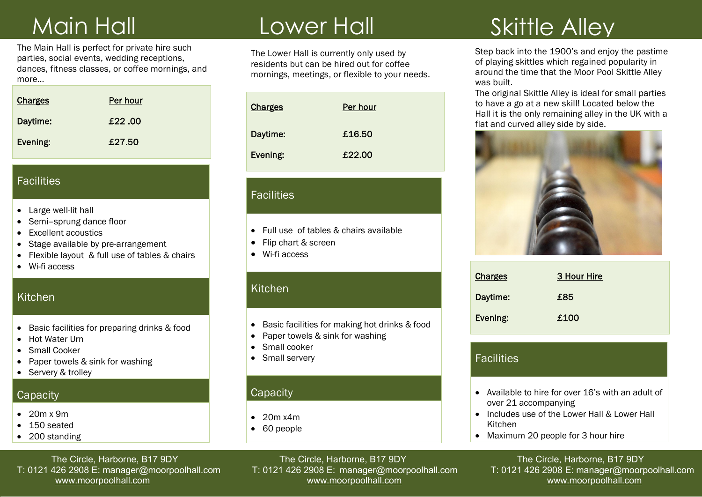The Main Hall is perfect for private hire suc<br>parties, social events, wedding receptions, The Main Hall is perfect for private hire such dances, fitness classes, or coffee mornings, and more…

| <b>Charges</b> | Per hour |
|----------------|----------|
| Daytime:       | £22.00   |
| Evening:       | £27.50   |

#### **Facilities**

- Large well-lit hall
- Semi-sprung dance floor
- Excellent acoustics
- Stage available by pre-arrangement
- Flexible layout & full use of tables & chairs
- Wi-fi access

#### **Kitchen**

- Basic facilities for preparing drinks & food
- Hot Water Urn
- Small Cooker
- Paper towels & sink for washing
- Servery & trolley

#### **Capacity**

- $\bullet$  20m x 9m
- 150 seated
- 200 standing

# Main Hall Lower Hall

The Lower Hall is currently only used by residents but can be hired out for coffee mornings, meetings, or flexible to your needs.

| <b>Charges</b> | Per hour |
|----------------|----------|
| Daytime:       | £16.50   |
| Evening:       | £22.00   |

#### **Facilities**

- Full use of tables & chairs available
- Flip chart & screen
- Wi-fi access

## Kitchen

- Basic facilities for making hot drinks & food
- Paper towels & sink for washing
- Small cooker
- Small servery

## **Capacity**

- $\bullet$  20m x4m
- 60 people

## Lower Hall Skittle Alley

Step back into the 1900's and enjoy the pastime of playing skittles which regained popularity in around the time that the Moor Pool Skittle Alley was built.

The original Skittle Alley is ideal for small parties to have a go at a new skill! Located below the Hall it is the only remaining alley in the UK with a flat and curved alley side by side.



| <b>Charges</b> | 3 Hour Hire |
|----------------|-------------|
| Daytime:       | £85         |
| Evening:       | £100        |

## **Facilities**

- Available to hire for over 16's with an adult of over 21 accompanying
- Includes use of the Lower Hall & Lower Hall Kitchen
- Maximum 20 people for 3 hour hire

The Circle, Harborne, B17 9DY<br>T: 0121 426 2908 E: manager@moorpoolhall.com T: 0121 426 2908 E: manager@moorpoolhall.com T: 0121 426 2908 E: manager@moorpoolhall.com

T: 0121 426 2908 E: manager@moorpoolhall.com www.moorpoolhall.com www.moorpoolhall.com www.moorpoolhall.com